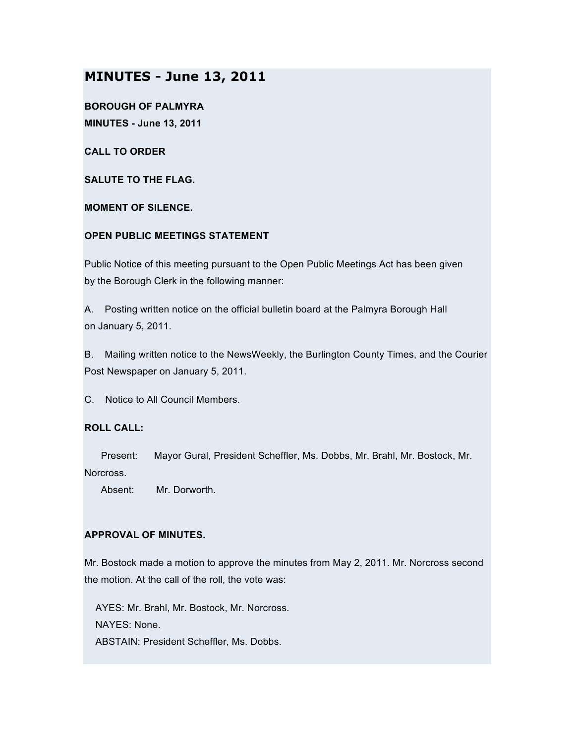# **MINUTES - June 13, 2011**

**BOROUGH OF PALMYRA MINUTES - June 13, 2011**

**CALL TO ORDER**

**SALUTE TO THE FLAG.**

**MOMENT OF SILENCE.**

# **OPEN PUBLIC MEETINGS STATEMENT**

Public Notice of this meeting pursuant to the Open Public Meetings Act has been given by the Borough Clerk in the following manner:

A. Posting written notice on the official bulletin board at the Palmyra Borough Hall on January 5, 2011.

B. Mailing written notice to the NewsWeekly, the Burlington County Times, and the Courier Post Newspaper on January 5, 2011.

C. Notice to All Council Members.

#### **ROLL CALL:**

Present: Mayor Gural, President Scheffler, Ms. Dobbs, Mr. Brahl, Mr. Bostock, Mr. Norcross.

Absent: Mr. Dorworth.

#### **APPROVAL OF MINUTES.**

Mr. Bostock made a motion to approve the minutes from May 2, 2011. Mr. Norcross second the motion. At the call of the roll, the vote was:

AYES: Mr. Brahl, Mr. Bostock, Mr. Norcross. NAYES: None. ABSTAIN: President Scheffler, Ms. Dobbs.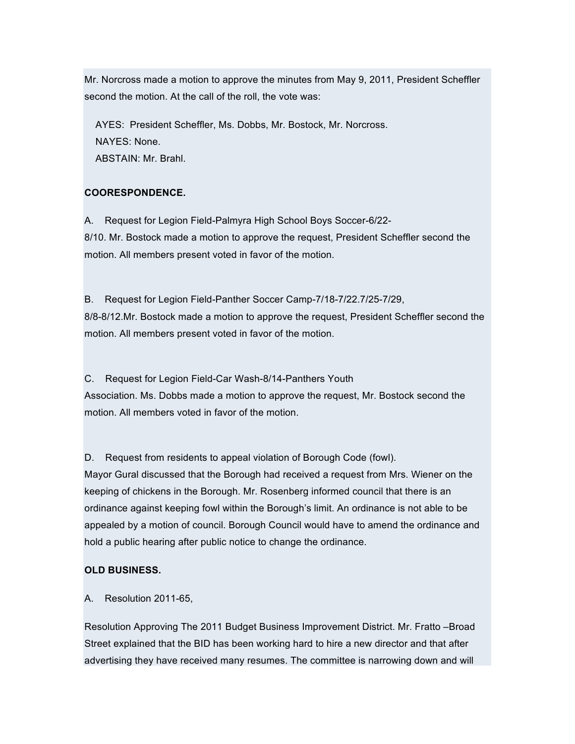Mr. Norcross made a motion to approve the minutes from May 9, 2011, President Scheffler second the motion. At the call of the roll, the vote was:

AYES: President Scheffler, Ms. Dobbs, Mr. Bostock, Mr. Norcross. NAYES: None. ABSTAIN: Mr. Brahl.

# **COORESPONDENCE.**

A. Request for Legion Field-Palmyra High School Boys Soccer-6/22- 8/10. Mr. Bostock made a motion to approve the request, President Scheffler second the motion. All members present voted in favor of the motion.

B. Request for Legion Field-Panther Soccer Camp-7/18-7/22.7/25-7/29, 8/8-8/12.Mr. Bostock made a motion to approve the request, President Scheffler second the motion. All members present voted in favor of the motion.

C. Request for Legion Field-Car Wash-8/14-Panthers Youth Association. Ms. Dobbs made a motion to approve the request, Mr. Bostock second the motion. All members voted in favor of the motion.

D. Request from residents to appeal violation of Borough Code (fowl).

Mayor Gural discussed that the Borough had received a request from Mrs. Wiener on the keeping of chickens in the Borough. Mr. Rosenberg informed council that there is an ordinance against keeping fowl within the Borough's limit. An ordinance is not able to be appealed by a motion of council. Borough Council would have to amend the ordinance and hold a public hearing after public notice to change the ordinance.

#### **OLD BUSINESS.**

#### A. Resolution 2011-65,

Resolution Approving The 2011 Budget Business Improvement District. Mr. Fratto –Broad Street explained that the BID has been working hard to hire a new director and that after advertising they have received many resumes. The committee is narrowing down and will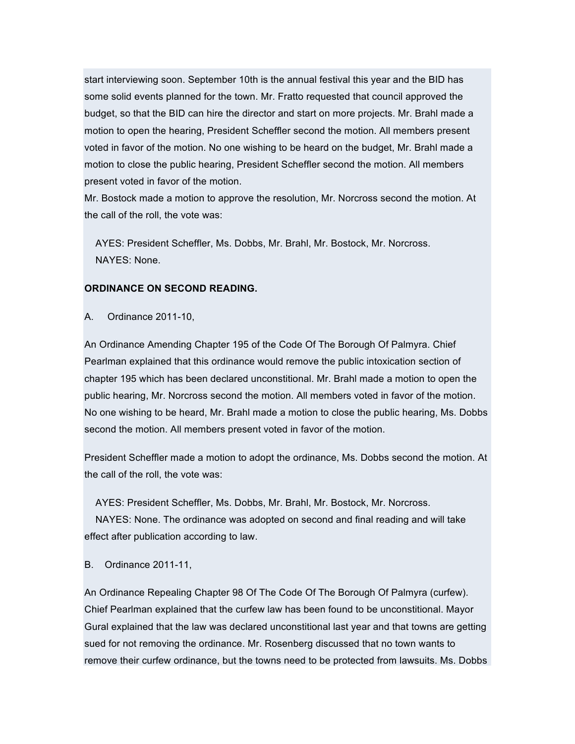start interviewing soon. September 10th is the annual festival this year and the BID has some solid events planned for the town. Mr. Fratto requested that council approved the budget, so that the BID can hire the director and start on more projects. Mr. Brahl made a motion to open the hearing, President Scheffler second the motion. All members present voted in favor of the motion. No one wishing to be heard on the budget, Mr. Brahl made a motion to close the public hearing, President Scheffler second the motion. All members present voted in favor of the motion.

Mr. Bostock made a motion to approve the resolution, Mr. Norcross second the motion. At the call of the roll, the vote was:

AYES: President Scheffler, Ms. Dobbs, Mr. Brahl, Mr. Bostock, Mr. Norcross. NAYES: None.

#### **ORDINANCE ON SECOND READING.**

A. Ordinance 2011-10,

An Ordinance Amending Chapter 195 of the Code Of The Borough Of Palmyra. Chief Pearlman explained that this ordinance would remove the public intoxication section of chapter 195 which has been declared unconstitional. Mr. Brahl made a motion to open the public hearing, Mr. Norcross second the motion. All members voted in favor of the motion. No one wishing to be heard, Mr. Brahl made a motion to close the public hearing, Ms. Dobbs second the motion. All members present voted in favor of the motion.

President Scheffler made a motion to adopt the ordinance, Ms. Dobbs second the motion. At the call of the roll, the vote was:

AYES: President Scheffler, Ms. Dobbs, Mr. Brahl, Mr. Bostock, Mr. Norcross.

NAYES: None. The ordinance was adopted on second and final reading and will take effect after publication according to law.

B. Ordinance 2011-11,

An Ordinance Repealing Chapter 98 Of The Code Of The Borough Of Palmyra (curfew). Chief Pearlman explained that the curfew law has been found to be unconstitional. Mayor Gural explained that the law was declared unconstitional last year and that towns are getting sued for not removing the ordinance. Mr. Rosenberg discussed that no town wants to remove their curfew ordinance, but the towns need to be protected from lawsuits. Ms. Dobbs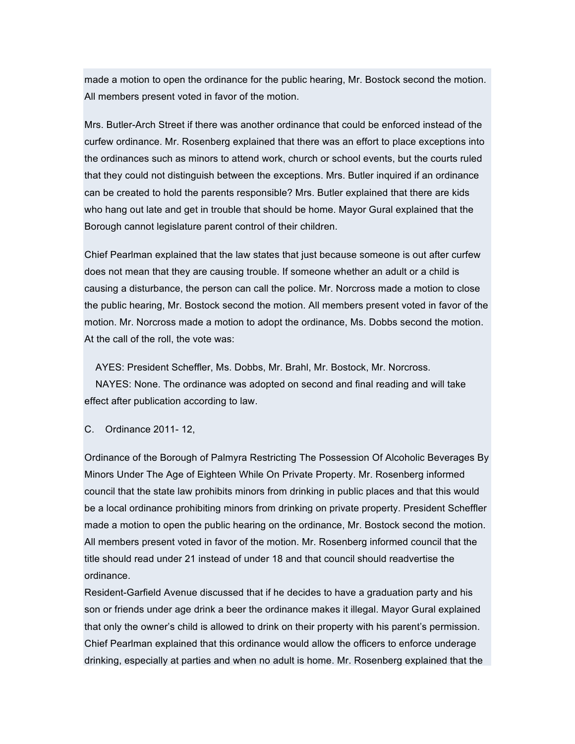made a motion to open the ordinance for the public hearing, Mr. Bostock second the motion. All members present voted in favor of the motion.

Mrs. Butler-Arch Street if there was another ordinance that could be enforced instead of the curfew ordinance. Mr. Rosenberg explained that there was an effort to place exceptions into the ordinances such as minors to attend work, church or school events, but the courts ruled that they could not distinguish between the exceptions. Mrs. Butler inquired if an ordinance can be created to hold the parents responsible? Mrs. Butler explained that there are kids who hang out late and get in trouble that should be home. Mayor Gural explained that the Borough cannot legislature parent control of their children.

Chief Pearlman explained that the law states that just because someone is out after curfew does not mean that they are causing trouble. If someone whether an adult or a child is causing a disturbance, the person can call the police. Mr. Norcross made a motion to close the public hearing, Mr. Bostock second the motion. All members present voted in favor of the motion. Mr. Norcross made a motion to adopt the ordinance, Ms. Dobbs second the motion. At the call of the roll, the vote was:

AYES: President Scheffler, Ms. Dobbs, Mr. Brahl, Mr. Bostock, Mr. Norcross. NAYES: None. The ordinance was adopted on second and final reading and will take effect after publication according to law.

C. Ordinance 2011- 12,

Ordinance of the Borough of Palmyra Restricting The Possession Of Alcoholic Beverages By Minors Under The Age of Eighteen While On Private Property. Mr. Rosenberg informed council that the state law prohibits minors from drinking in public places and that this would be a local ordinance prohibiting minors from drinking on private property. President Scheffler made a motion to open the public hearing on the ordinance, Mr. Bostock second the motion. All members present voted in favor of the motion. Mr. Rosenberg informed council that the title should read under 21 instead of under 18 and that council should readvertise the ordinance.

Resident-Garfield Avenue discussed that if he decides to have a graduation party and his son or friends under age drink a beer the ordinance makes it illegal. Mayor Gural explained that only the owner's child is allowed to drink on their property with his parent's permission. Chief Pearlman explained that this ordinance would allow the officers to enforce underage drinking, especially at parties and when no adult is home. Mr. Rosenberg explained that the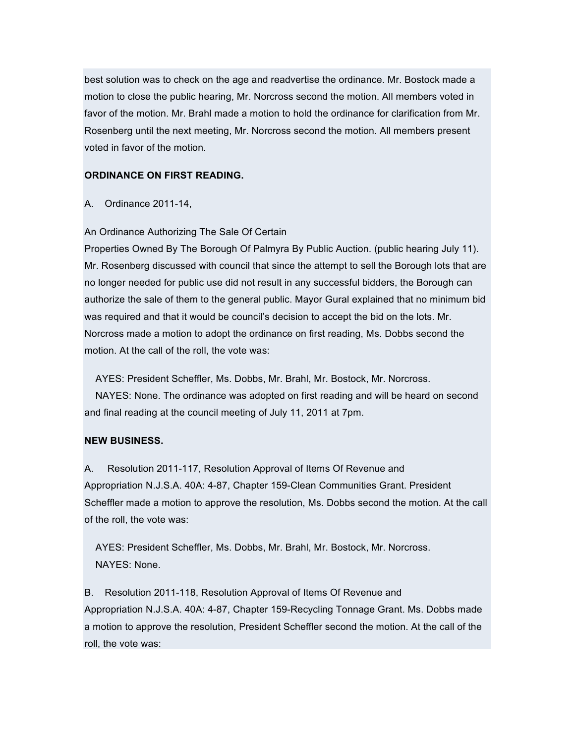best solution was to check on the age and readvertise the ordinance. Mr. Bostock made a motion to close the public hearing, Mr. Norcross second the motion. All members voted in favor of the motion. Mr. Brahl made a motion to hold the ordinance for clarification from Mr. Rosenberg until the next meeting, Mr. Norcross second the motion. All members present voted in favor of the motion.

# **ORDINANCE ON FIRST READING.**

A. Ordinance 2011-14,

An Ordinance Authorizing The Sale Of Certain

Properties Owned By The Borough Of Palmyra By Public Auction. (public hearing July 11). Mr. Rosenberg discussed with council that since the attempt to sell the Borough lots that are no longer needed for public use did not result in any successful bidders, the Borough can authorize the sale of them to the general public. Mayor Gural explained that no minimum bid was required and that it would be council's decision to accept the bid on the lots. Mr. Norcross made a motion to adopt the ordinance on first reading, Ms. Dobbs second the motion. At the call of the roll, the vote was:

AYES: President Scheffler, Ms. Dobbs, Mr. Brahl, Mr. Bostock, Mr. Norcross.

NAYES: None. The ordinance was adopted on first reading and will be heard on second and final reading at the council meeting of July 11, 2011 at 7pm.

# **NEW BUSINESS.**

A. Resolution 2011-117, Resolution Approval of Items Of Revenue and Appropriation N.J.S.A. 40A: 4-87, Chapter 159-Clean Communities Grant. President Scheffler made a motion to approve the resolution, Ms. Dobbs second the motion. At the call of the roll, the vote was:

AYES: President Scheffler, Ms. Dobbs, Mr. Brahl, Mr. Bostock, Mr. Norcross. NAYES: None.

B. Resolution 2011-118, Resolution Approval of Items Of Revenue and Appropriation N.J.S.A. 40A: 4-87, Chapter 159-Recycling Tonnage Grant. Ms. Dobbs made a motion to approve the resolution, President Scheffler second the motion. At the call of the roll, the vote was: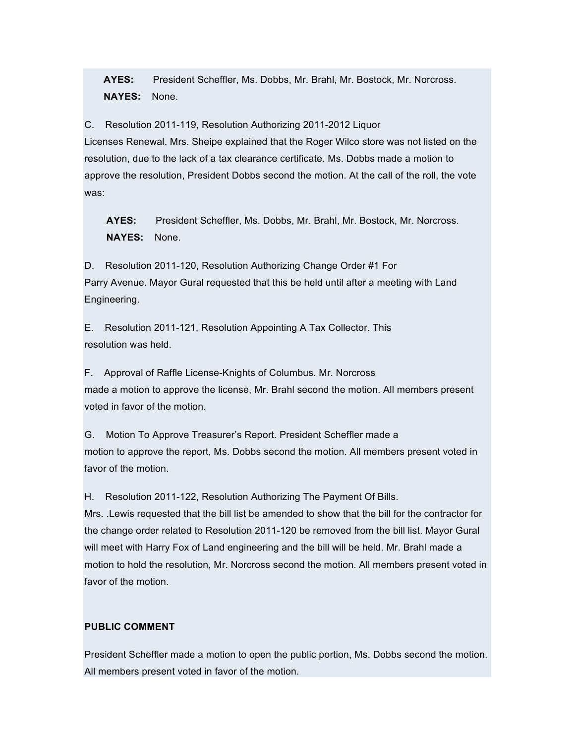**AYES:** President Scheffler, Ms. Dobbs, Mr. Brahl, Mr. Bostock, Mr. Norcross. **NAYES:** None.

C. Resolution 2011-119, Resolution Authorizing 2011-2012 Liquor Licenses Renewal. Mrs. Sheipe explained that the Roger Wilco store was not listed on the resolution, due to the lack of a tax clearance certificate. Ms. Dobbs made a motion to approve the resolution, President Dobbs second the motion. At the call of the roll, the vote was:

**AYES:** President Scheffler, Ms. Dobbs, Mr. Brahl, Mr. Bostock, Mr. Norcross. **NAYES:** None.

D. Resolution 2011-120, Resolution Authorizing Change Order #1 For Parry Avenue. Mayor Gural requested that this be held until after a meeting with Land Engineering.

E. Resolution 2011-121, Resolution Appointing A Tax Collector. This resolution was held.

F. Approval of Raffle License-Knights of Columbus. Mr. Norcross made a motion to approve the license, Mr. Brahl second the motion. All members present voted in favor of the motion.

G. Motion To Approve Treasurer's Report. President Scheffler made a motion to approve the report, Ms. Dobbs second the motion. All members present voted in favor of the motion.

H. Resolution 2011-122, Resolution Authorizing The Payment Of Bills.

Mrs. .Lewis requested that the bill list be amended to show that the bill for the contractor for the change order related to Resolution 2011-120 be removed from the bill list. Mayor Gural will meet with Harry Fox of Land engineering and the bill will be held. Mr. Brahl made a motion to hold the resolution, Mr. Norcross second the motion. All members present voted in favor of the motion.

# **PUBLIC COMMENT**

President Scheffler made a motion to open the public portion, Ms. Dobbs second the motion. All members present voted in favor of the motion.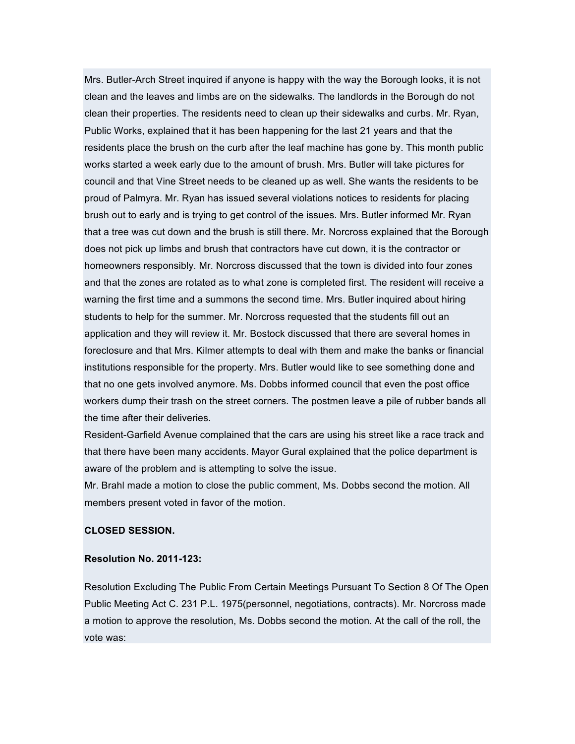Mrs. Butler-Arch Street inquired if anyone is happy with the way the Borough looks, it is not clean and the leaves and limbs are on the sidewalks. The landlords in the Borough do not clean their properties. The residents need to clean up their sidewalks and curbs. Mr. Ryan, Public Works, explained that it has been happening for the last 21 years and that the residents place the brush on the curb after the leaf machine has gone by. This month public works started a week early due to the amount of brush. Mrs. Butler will take pictures for council and that Vine Street needs to be cleaned up as well. She wants the residents to be proud of Palmyra. Mr. Ryan has issued several violations notices to residents for placing brush out to early and is trying to get control of the issues. Mrs. Butler informed Mr. Ryan that a tree was cut down and the brush is still there. Mr. Norcross explained that the Borough does not pick up limbs and brush that contractors have cut down, it is the contractor or homeowners responsibly. Mr. Norcross discussed that the town is divided into four zones and that the zones are rotated as to what zone is completed first. The resident will receive a warning the first time and a summons the second time. Mrs. Butler inquired about hiring students to help for the summer. Mr. Norcross requested that the students fill out an application and they will review it. Mr. Bostock discussed that there are several homes in foreclosure and that Mrs. Kilmer attempts to deal with them and make the banks or financial institutions responsible for the property. Mrs. Butler would like to see something done and that no one gets involved anymore. Ms. Dobbs informed council that even the post office workers dump their trash on the street corners. The postmen leave a pile of rubber bands all the time after their deliveries.

Resident-Garfield Avenue complained that the cars are using his street like a race track and that there have been many accidents. Mayor Gural explained that the police department is aware of the problem and is attempting to solve the issue.

Mr. Brahl made a motion to close the public comment, Ms. Dobbs second the motion. All members present voted in favor of the motion.

#### **CLOSED SESSION.**

#### **Resolution No. 2011-123:**

Resolution Excluding The Public From Certain Meetings Pursuant To Section 8 Of The Open Public Meeting Act C. 231 P.L. 1975(personnel, negotiations, contracts). Mr. Norcross made a motion to approve the resolution, Ms. Dobbs second the motion. At the call of the roll, the vote was: